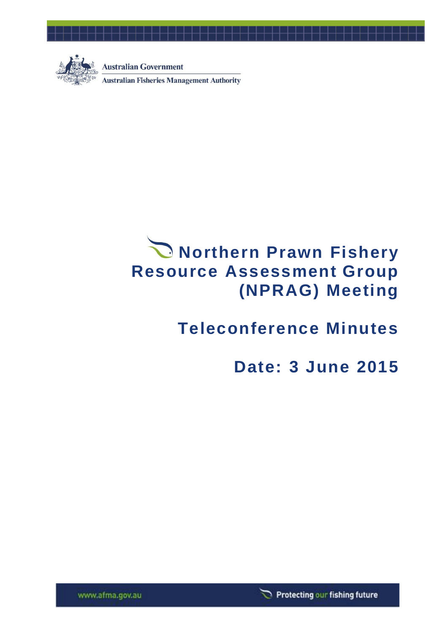

**Australian Government Australian Fisheries Management Authority** 

# **Northern Prawn Fishery Resource Assessment Group (NPRAG) Meeting**

## **Teleconference Minutes**

## **Date: 3 June 2015**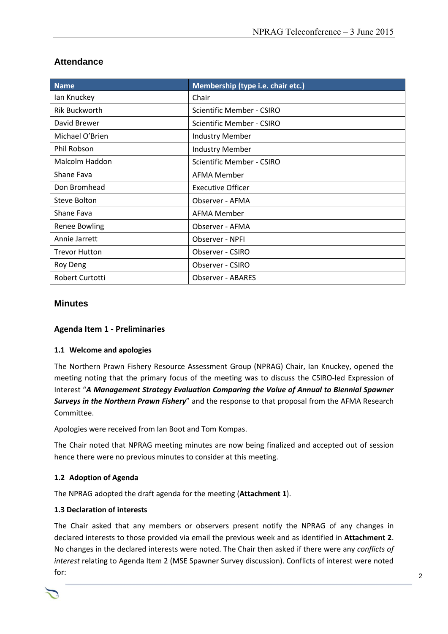| <b>Name</b>                                        | Membership (type i.e. chair etc.) |  |
|----------------------------------------------------|-----------------------------------|--|
| lan Knuckey                                        | Chair                             |  |
| <b>Rik Buckworth</b>                               | Scientific Member - CSIRO         |  |
| David Brewer                                       | Scientific Member - CSIRO         |  |
| Michael O'Brien                                    | <b>Industry Member</b>            |  |
| Phil Robson                                        | <b>Industry Member</b>            |  |
| Malcolm Haddon<br><b>Scientific Member - CSIRO</b> |                                   |  |
| Shane Fava                                         | <b>AFMA Member</b>                |  |
| Don Bromhead                                       | <b>Executive Officer</b>          |  |
| Steve Bolton                                       | Observer - AFMA                   |  |
| Shane Fava                                         | AFMA Member                       |  |
| <b>Renee Bowling</b>                               | Observer - AFMA                   |  |
| Annie Jarrett                                      | Observer - NPFI                   |  |
| <b>Trevor Hutton</b>                               | Observer - CSIRO                  |  |
| Roy Deng                                           | Observer - CSIRO                  |  |
| Robert Curtotti                                    | <b>Observer - ABARES</b>          |  |

## **Attendance**

#### **Minutes**

#### **Agenda Item 1 - Preliminaries**

#### **1.1 Welcome and apologies**

The Northern Prawn Fishery Resource Assessment Group (NPRAG) Chair, Ian Knuckey, opened the meeting noting that the primary focus of the meeting was to discuss the CSIRO-led Expression of Interest "*A Management Strategy Evaluation Comparing the Value of Annual to Biennial Spawner Surveys in the Northern Prawn Fishery*" and the response to that proposal from the AFMA Research Committee.

Apologies were received from Ian Boot and Tom Kompas.

The Chair noted that NPRAG meeting minutes are now being finalized and accepted out of session hence there were no previous minutes to consider at this meeting.

#### **1.2 Adoption of Agenda**

The NPRAG adopted the draft agenda for the meeting (**Attachment 1**).

#### **1.3 Declaration of interests**

The Chair asked that any members or observers present notify the NPRAG of any changes in declared interests to those provided via email the previous week and as identified in **Attachment 2**. No changes in the declared interests were noted. The Chair then asked if there were any *conflicts of interest* relating to Agenda Item 2 (MSE Spawner Survey discussion). Conflicts of interest were noted for: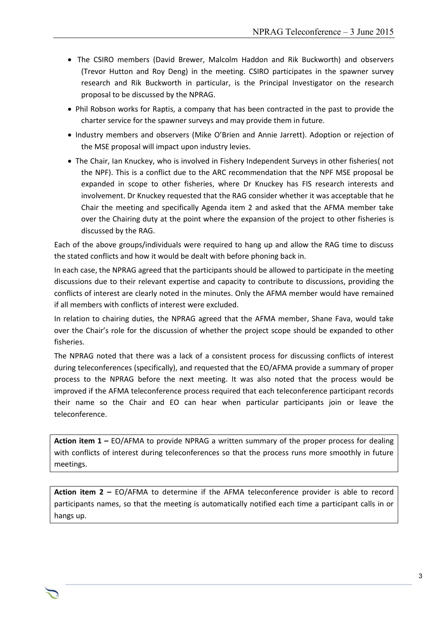- The CSIRO members (David Brewer, Malcolm Haddon and Rik Buckworth) and observers (Trevor Hutton and Roy Deng) in the meeting. CSIRO participates in the spawner survey research and Rik Buckworth in particular, is the Principal Investigator on the research proposal to be discussed by the NPRAG.
- Phil Robson works for Raptis, a company that has been contracted in the past to provide the charter service for the spawner surveys and may provide them in future.
- Industry members and observers (Mike O'Brien and Annie Jarrett). Adoption or rejection of the MSE proposal will impact upon industry levies.
- The Chair, Ian Knuckey, who is involved in Fishery Independent Surveys in other fisheries( not the NPF). This is a conflict due to the ARC recommendation that the NPF MSE proposal be expanded in scope to other fisheries, where Dr Knuckey has FIS research interests and involvement. Dr Knuckey requested that the RAG consider whether it was acceptable that he Chair the meeting and specifically Agenda item 2 and asked that the AFMA member take over the Chairing duty at the point where the expansion of the project to other fisheries is discussed by the RAG.

Each of the above groups/individuals were required to hang up and allow the RAG time to discuss the stated conflicts and how it would be dealt with before phoning back in.

In each case, the NPRAG agreed that the participants should be allowed to participate in the meeting discussions due to their relevant expertise and capacity to contribute to discussions, providing the conflicts of interest are clearly noted in the minutes. Only the AFMA member would have remained if all members with conflicts of interest were excluded.

In relation to chairing duties, the NPRAG agreed that the AFMA member, Shane Fava, would take over the Chair's role for the discussion of whether the project scope should be expanded to other fisheries.

The NPRAG noted that there was a lack of a consistent process for discussing conflicts of interest during teleconferences (specifically), and requested that the EO/AFMA provide a summary of proper process to the NPRAG before the next meeting. It was also noted that the process would be improved if the AFMA teleconference process required that each teleconference participant records their name so the Chair and EO can hear when particular participants join or leave the teleconference.

**Action item 1 –** EO/AFMA to provide NPRAG a written summary of the proper process for dealing with conflicts of interest during teleconferences so that the process runs more smoothly in future meetings.

**Action item 2 –** EO/AFMA to determine if the AFMA teleconference provider is able to record participants names, so that the meeting is automatically notified each time a participant calls in or hangs up.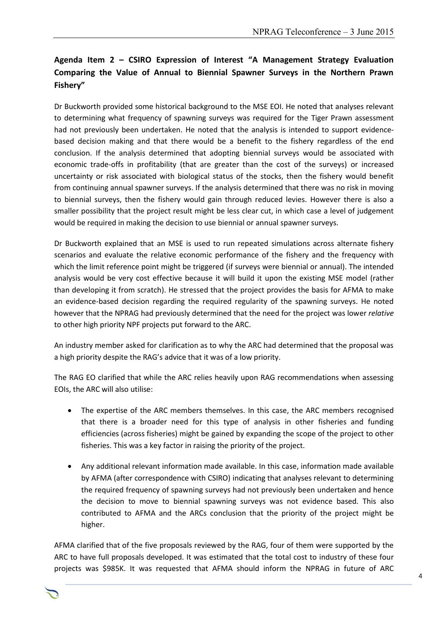## **Agenda Item 2 – CSIRO Expression of Interest "A Management Strategy Evaluation Comparing the Value of Annual to Biennial Spawner Surveys in the Northern Prawn Fishery"**

Dr Buckworth provided some historical background to the MSE EOI. He noted that analyses relevant to determining what frequency of spawning surveys was required for the Tiger Prawn assessment had not previously been undertaken. He noted that the analysis is intended to support evidencebased decision making and that there would be a benefit to the fishery regardless of the end conclusion. If the analysis determined that adopting biennial surveys would be associated with economic trade-offs in profitability (that are greater than the cost of the surveys) or increased uncertainty or risk associated with biological status of the stocks, then the fishery would benefit from continuing annual spawner surveys. If the analysis determined that there was no risk in moving to biennial surveys, then the fishery would gain through reduced levies. However there is also a smaller possibility that the project result might be less clear cut, in which case a level of judgement would be required in making the decision to use biennial or annual spawner surveys.

Dr Buckworth explained that an MSE is used to run repeated simulations across alternate fishery scenarios and evaluate the relative economic performance of the fishery and the frequency with which the limit reference point might be triggered (if surveys were biennial or annual). The intended analysis would be very cost effective because it will build it upon the existing MSE model (rather than developing it from scratch). He stressed that the project provides the basis for AFMA to make an evidence-based decision regarding the required regularity of the spawning surveys. He noted however that the NPRAG had previously determined that the need for the project was lower *relative* to other high priority NPF projects put forward to the ARC.

An industry member asked for clarification as to why the ARC had determined that the proposal was a high priority despite the RAG's advice that it was of a low priority.

The RAG EO clarified that while the ARC relies heavily upon RAG recommendations when assessing EOIs, the ARC will also utilise:

- The expertise of the ARC members themselves. In this case, the ARC members recognised that there is a broader need for this type of analysis in other fisheries and funding efficiencies (across fisheries) might be gained by expanding the scope of the project to other fisheries. This was a key factor in raising the priority of the project.
- Any additional relevant information made available. In this case, information made available by AFMA (after correspondence with CSIRO) indicating that analyses relevant to determining the required frequency of spawning surveys had not previously been undertaken and hence the decision to move to biennial spawning surveys was not evidence based. This also contributed to AFMA and the ARCs conclusion that the priority of the project might be higher.

AFMA clarified that of the five proposals reviewed by the RAG, four of them were supported by the ARC to have full proposals developed. It was estimated that the total cost to industry of these four projects was \$985K. It was requested that AFMA should inform the NPRAG in future of ARC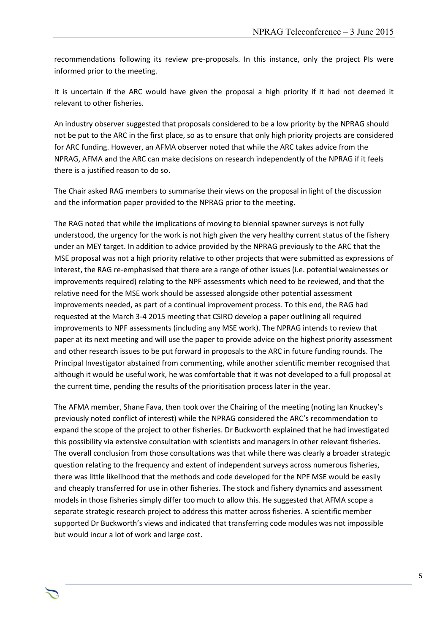recommendations following its review pre-proposals. In this instance, only the project PIs were informed prior to the meeting.

It is uncertain if the ARC would have given the proposal a high priority if it had not deemed it relevant to other fisheries.

An industry observer suggested that proposals considered to be a low priority by the NPRAG should not be put to the ARC in the first place, so as to ensure that only high priority projects are considered for ARC funding. However, an AFMA observer noted that while the ARC takes advice from the NPRAG, AFMA and the ARC can make decisions on research independently of the NPRAG if it feels there is a justified reason to do so.

The Chair asked RAG members to summarise their views on the proposal in light of the discussion and the information paper provided to the NPRAG prior to the meeting.

The RAG noted that while the implications of moving to biennial spawner surveys is not fully understood, the urgency for the work is not high given the very healthy current status of the fishery under an MEY target. In addition to advice provided by the NPRAG previously to the ARC that the MSE proposal was not a high priority relative to other projects that were submitted as expressions of interest, the RAG re-emphasised that there are a range of other issues (i.e. potential weaknesses or improvements required) relating to the NPF assessments which need to be reviewed, and that the relative need for the MSE work should be assessed alongside other potential assessment improvements needed, as part of a continual improvement process. To this end, the RAG had requested at the March 3-4 2015 meeting that CSIRO develop a paper outlining all required improvements to NPF assessments (including any MSE work). The NPRAG intends to review that paper at its next meeting and will use the paper to provide advice on the highest priority assessment and other research issues to be put forward in proposals to the ARC in future funding rounds. The Principal Investigator abstained from commenting, while another scientific member recognised that although it would be useful work, he was comfortable that it was not developed to a full proposal at the current time, pending the results of the prioritisation process later in the year.

The AFMA member, Shane Fava, then took over the Chairing of the meeting (noting Ian Knuckey's previously noted conflict of interest) while the NPRAG considered the ARC's recommendation to expand the scope of the project to other fisheries. Dr Buckworth explained that he had investigated this possibility via extensive consultation with scientists and managers in other relevant fisheries. The overall conclusion from those consultations was that while there was clearly a broader strategic question relating to the frequency and extent of independent surveys across numerous fisheries, there was little likelihood that the methods and code developed for the NPF MSE would be easily and cheaply transferred for use in other fisheries. The stock and fishery dynamics and assessment models in those fisheries simply differ too much to allow this. He suggested that AFMA scope a separate strategic research project to address this matter across fisheries. A scientific member supported Dr Buckworth's views and indicated that transferring code modules was not impossible but would incur a lot of work and large cost.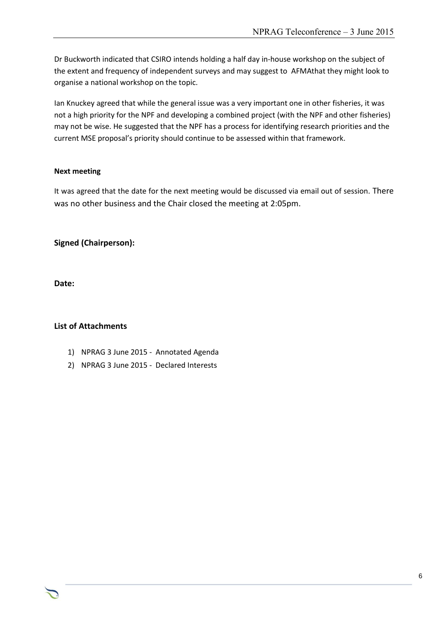Dr Buckworth indicated that CSIRO intends holding a half day in-house workshop on the subject of the extent and frequency of independent surveys and may suggest to AFMAthat they might look to organise a national workshop on the topic.

Ian Knuckey agreed that while the general issue was a very important one in other fisheries, it was not a high priority for the NPF and developing a combined project (with the NPF and other fisheries) may not be wise. He suggested that the NPF has a process for identifying research priorities and the current MSE proposal's priority should continue to be assessed within that framework.

#### **Next meeting**

It was agreed that the date for the next meeting would be discussed via email out of session. There was no other business and the Chair closed the meeting at 2:05pm.

Chair Rob Lewis c/- Executive Officer Tony Kingston, 155 Faulkland Rd, Gloucester NSW 2422

**Signed (Chairperson):**

**Date:**

#### **List of Attachments**

- 1) NPRAG 3 June 2015 Annotated Agenda
- 2) NPRAG 3 June 2015 Declared Interests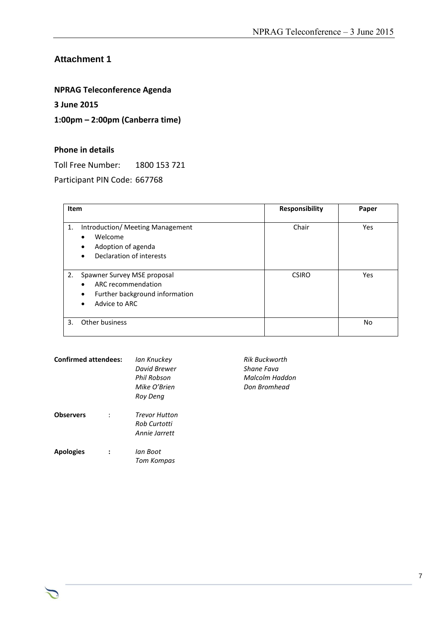### **Attachment 1**

### **NPRAG Teleconference Agenda**

#### **3 June 2015**

#### **1:00pm – 2:00pm (Canberra time)**

#### **Phone in details**

Toll Free Number: 1800 153 721

Participant PIN Code: 667768

| Item |                                                                                                                                      | <b>Responsibility</b> | Paper |
|------|--------------------------------------------------------------------------------------------------------------------------------------|-----------------------|-------|
| 1.   | Introduction/ Meeting Management<br>Welcome<br>$\bullet$<br>Adoption of agenda<br>$\bullet$<br>Declaration of interests<br>$\bullet$ | Chair                 | Yes   |
| 2.   | Spawner Survey MSE proposal<br>ARC recommendation<br>Further background information<br>$\bullet$<br>Advice to ARC<br>$\bullet$       | <b>CSIRO</b>          | Yes   |
| 3.   | Other business                                                                                                                       |                       | No    |

| <b>Confirmed attendees:</b> | lan Knuckey<br>David Brewer<br>Phil Robson<br>Mike O'Brien<br>Roy Dena | <b>Rik Buckworth</b><br>Shane Fava<br>Malcolm Haddon<br>Don Bromhead |
|-----------------------------|------------------------------------------------------------------------|----------------------------------------------------------------------|
| <b>Observers</b>            | <b>Trevor Hutton</b><br>Rob Curtotti<br>Annie Jarrett                  |                                                                      |
| <b>Apologies</b>            | lan Boot<br>Tom Kompas                                                 |                                                                      |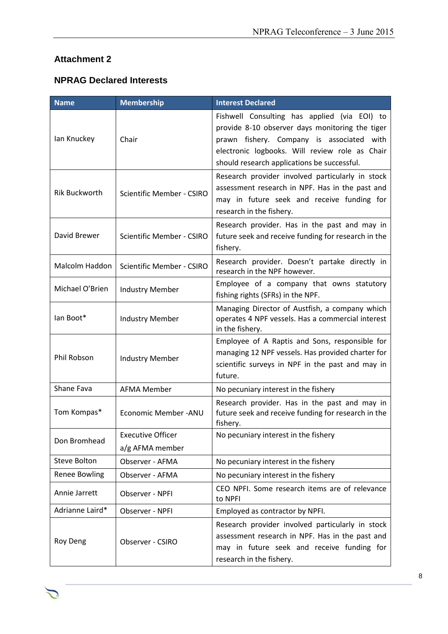## **Attachment 2**

つ

## **NPRAG Declared Interests**

| <b>Name</b>                                              | <b>Membership</b>                | <b>Interest Declared</b>                                                                                                                                                                                                                      |
|----------------------------------------------------------|----------------------------------|-----------------------------------------------------------------------------------------------------------------------------------------------------------------------------------------------------------------------------------------------|
| lan Knuckey                                              | Chair                            | Fishwell Consulting has applied (via EOI) to<br>provide 8-10 observer days monitoring the tiger<br>prawn fishery. Company is associated with<br>electronic logbooks. Will review role as Chair<br>should research applications be successful. |
| <b>Rik Buckworth</b><br><b>Scientific Member - CSIRO</b> |                                  | Research provider involved particularly in stock<br>assessment research in NPF. Has in the past and<br>may in future seek and receive funding for<br>research in the fishery.                                                                 |
| David Brewer                                             | <b>Scientific Member - CSIRO</b> | Research provider. Has in the past and may in<br>future seek and receive funding for research in the<br>fishery.                                                                                                                              |
| Malcolm Haddon                                           | <b>Scientific Member - CSIRO</b> | Research provider. Doesn't partake directly in<br>research in the NPF however.                                                                                                                                                                |
| Michael O'Brien                                          | <b>Industry Member</b>           | Employee of a company that owns statutory<br>fishing rights (SFRs) in the NPF.                                                                                                                                                                |
| lan Boot*                                                | <b>Industry Member</b>           | Managing Director of Austfish, a company which<br>operates 4 NPF vessels. Has a commercial interest<br>in the fishery.                                                                                                                        |
| Phil Robson                                              | <b>Industry Member</b>           | Employee of A Raptis and Sons, responsible for<br>managing 12 NPF vessels. Has provided charter for<br>scientific surveys in NPF in the past and may in<br>future.                                                                            |
| Shane Fava                                               | <b>AFMA Member</b>               | No pecuniary interest in the fishery                                                                                                                                                                                                          |
| Tom Kompas*                                              | Economic Member - ANU            | Research provider. Has in the past and may in<br>future seek and receive funding for research in the<br>fishery.                                                                                                                              |
| Don Bromhead                                             | <b>Executive Officer</b>         | No pecuniary interest in the fishery                                                                                                                                                                                                          |
|                                                          | a/g AFMA member                  |                                                                                                                                                                                                                                               |
| Steve Bolton                                             | Observer - AFMA                  | No pecuniary interest in the fishery                                                                                                                                                                                                          |
| <b>Renee Bowling</b>                                     | Observer - AFMA                  | No pecuniary interest in the fishery                                                                                                                                                                                                          |
| Annie Jarrett                                            | Observer - NPFI                  | CEO NPFI. Some research items are of relevance<br>to NPFI                                                                                                                                                                                     |
| Adrianne Laird*                                          | Observer - NPFI                  | Employed as contractor by NPFI.                                                                                                                                                                                                               |
| Roy Deng                                                 | Observer - CSIRO                 | Research provider involved particularly in stock<br>assessment research in NPF. Has in the past and<br>may in future seek and receive funding for<br>research in the fishery.                                                                 |